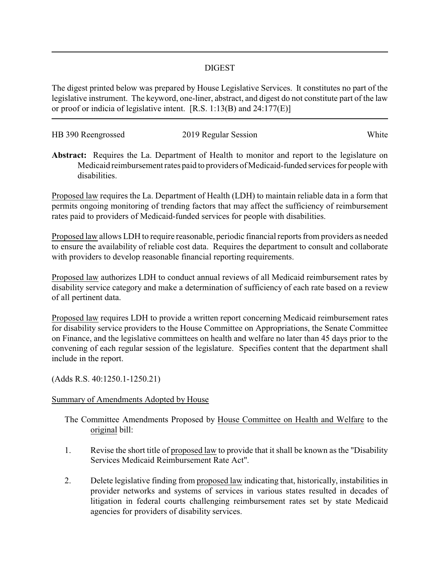## DIGEST

The digest printed below was prepared by House Legislative Services. It constitutes no part of the legislative instrument. The keyword, one-liner, abstract, and digest do not constitute part of the law or proof or indicia of legislative intent. [R.S. 1:13(B) and 24:177(E)]

| HB 390 Reengrossed | 2019 Regular Session | White |
|--------------------|----------------------|-------|
|                    |                      |       |

**Abstract:** Requires the La. Department of Health to monitor and report to the legislature on Medicaid reimbursement rates paid to providers of Medicaid-funded services for people with disabilities.

Proposed law requires the La. Department of Health (LDH) to maintain reliable data in a form that permits ongoing monitoring of trending factors that may affect the sufficiency of reimbursement rates paid to providers of Medicaid-funded services for people with disabilities.

Proposed law allows LDH to require reasonable, periodic financial reports from providers as needed to ensure the availability of reliable cost data. Requires the department to consult and collaborate with providers to develop reasonable financial reporting requirements.

Proposed law authorizes LDH to conduct annual reviews of all Medicaid reimbursement rates by disability service category and make a determination of sufficiency of each rate based on a review of all pertinent data.

Proposed law requires LDH to provide a written report concerning Medicaid reimbursement rates for disability service providers to the House Committee on Appropriations, the Senate Committee on Finance, and the legislative committees on health and welfare no later than 45 days prior to the convening of each regular session of the legislature. Specifies content that the department shall include in the report.

(Adds R.S. 40:1250.1-1250.21)

## Summary of Amendments Adopted by House

The Committee Amendments Proposed by House Committee on Health and Welfare to the original bill:

- 1. Revise the short title of proposed law to provide that it shall be known as the "Disability Services Medicaid Reimbursement Rate Act".
- 2. Delete legislative finding from proposed law indicating that, historically, instabilities in provider networks and systems of services in various states resulted in decades of litigation in federal courts challenging reimbursement rates set by state Medicaid agencies for providers of disability services.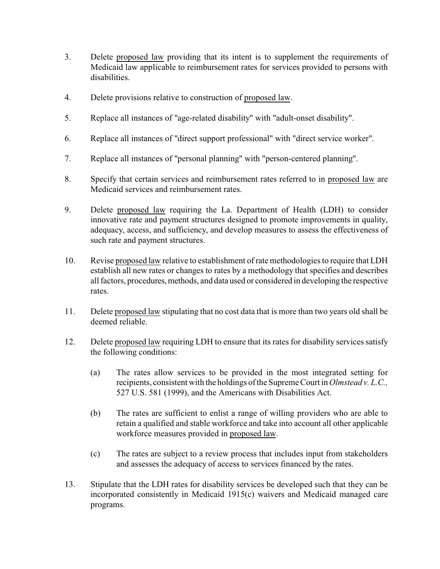- 3. Delete proposed law providing that its intent is to supplement the requirements of Medicaid law applicable to reimbursement rates for services provided to persons with disabilities.
- 4. Delete provisions relative to construction of proposed law.
- 5. Replace all instances of "age-related disability" with "adult-onset disability".
- 6. Replace all instances of "direct support professional" with "direct service worker".
- 7. Replace all instances of "personal planning" with "person-centered planning".
- 8. Specify that certain services and reimbursement rates referred to in proposed law are Medicaid services and reimbursement rates.
- 9. Delete proposed law requiring the La. Department of Health (LDH) to consider innovative rate and payment structures designed to promote improvements in quality, adequacy, access, and sufficiency, and develop measures to assess the effectiveness of such rate and payment structures.
- 10. Revise proposed law relative to establishment of rate methodologies to require that LDH establish all new rates or changes to rates by a methodology that specifies and describes all factors, procedures, methods, and data used or considered in developing the respective rates.
- 11. Delete proposed law stipulating that no cost data that is more than two years old shall be deemed reliable.
- 12. Delete proposed law requiring LDH to ensure that its rates for disability services satisfy the following conditions:
	- (a) The rates allow services to be provided in the most integrated setting for recipients, consistent with the holdings ofthe Supreme Court in *Olmstead v. L.C.,* 527 U.S. 581 (1999), and the Americans with Disabilities Act.
	- (b) The rates are sufficient to enlist a range of willing providers who are able to retain a qualified and stable workforce and take into account all other applicable workforce measures provided in proposed law.
	- (c) The rates are subject to a review process that includes input from stakeholders and assesses the adequacy of access to services financed by the rates.
- 13. Stipulate that the LDH rates for disability services be developed such that they can be incorporated consistently in Medicaid 1915(c) waivers and Medicaid managed care programs.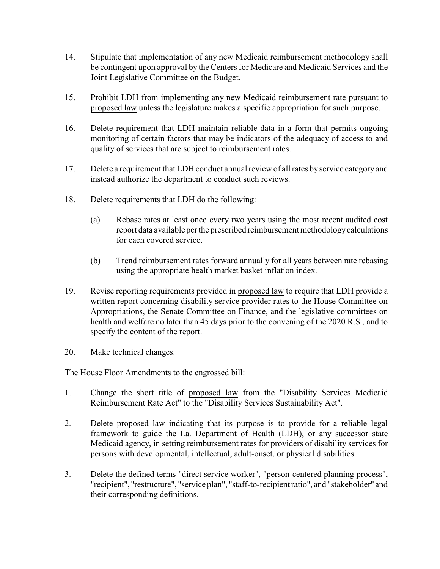- 14. Stipulate that implementation of any new Medicaid reimbursement methodology shall be contingent upon approval by the Centers for Medicare and Medicaid Services and the Joint Legislative Committee on the Budget.
- 15. Prohibit LDH from implementing any new Medicaid reimbursement rate pursuant to proposed law unless the legislature makes a specific appropriation for such purpose.
- 16. Delete requirement that LDH maintain reliable data in a form that permits ongoing monitoring of certain factors that may be indicators of the adequacy of access to and quality of services that are subject to reimbursement rates.
- 17. Delete a requirement that LDH conduct annual review of all rates by service category and instead authorize the department to conduct such reviews.
- 18. Delete requirements that LDH do the following:
	- (a) Rebase rates at least once every two years using the most recent audited cost report data available per the prescribed reimbursement methodologycalculations for each covered service.
	- (b) Trend reimbursement rates forward annually for all years between rate rebasing using the appropriate health market basket inflation index.
- 19. Revise reporting requirements provided in proposed law to require that LDH provide a written report concerning disability service provider rates to the House Committee on Appropriations, the Senate Committee on Finance, and the legislative committees on health and welfare no later than 45 days prior to the convening of the 2020 R.S., and to specify the content of the report.
- 20. Make technical changes.

## The House Floor Amendments to the engrossed bill:

- 1. Change the short title of proposed law from the "Disability Services Medicaid Reimbursement Rate Act" to the "Disability Services Sustainability Act".
- 2. Delete proposed law indicating that its purpose is to provide for a reliable legal framework to guide the La. Department of Health (LDH), or any successor state Medicaid agency, in setting reimbursement rates for providers of disability services for persons with developmental, intellectual, adult-onset, or physical disabilities.
- 3. Delete the defined terms "direct service worker", "person-centered planning process", "recipient", "restructure", "service plan", "staff-to-recipient ratio", and "stakeholder" and their corresponding definitions.